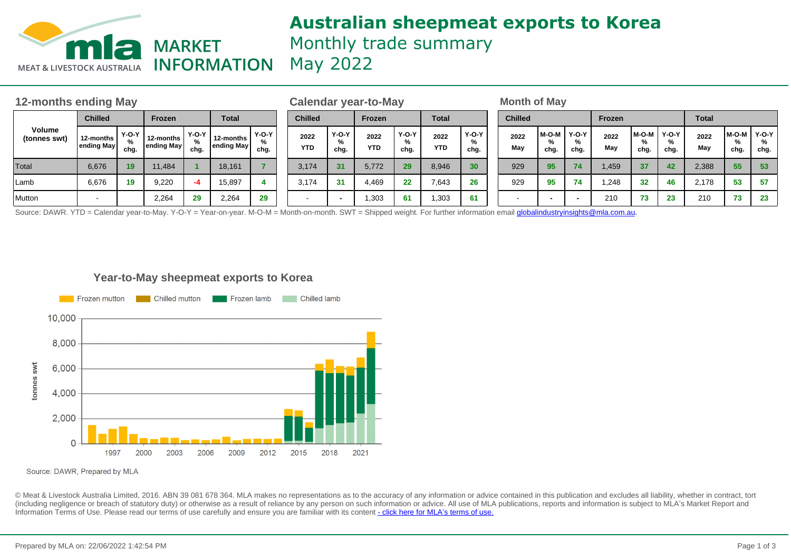

# **Australian sheepmeat exports to Korea** Monthly trade summary May 2022

| 12-months ending May   |                         |                                  |                         |                    |                         |                 |                    | Calendar year-to-May      |                    |                           |                    |                 |  | <b>Month of May</b>      |               |                           |             |                    |                      |              |                |                      |  |
|------------------------|-------------------------|----------------------------------|-------------------------|--------------------|-------------------------|-----------------|--------------------|---------------------------|--------------------|---------------------------|--------------------|-----------------|--|--------------------------|---------------|---------------------------|-------------|--------------------|----------------------|--------------|----------------|----------------------|--|
| Volume<br>(tonnes swt) | <b>Chilled</b>          |                                  | <b>Frozen</b>           |                    | <b>Total</b>            |                 | <b>Chilled</b>     |                           | <b>Frozen</b>      |                           | <b>Total</b>       |                 |  | <b>Chilled</b>           |               |                           | Frozen      |                    |                      | <b>Total</b> |                |                      |  |
|                        | 12-months<br>ending May | Y-O-Y I<br>$\frac{9}{6}$<br>chg. | 12-months<br>ending May | Y-O-Y<br>%<br>chg. | 12-months<br>ending May | $Y-O-Y$<br>chg. | 2022<br><b>YTD</b> | <b>Y-O-Y</b><br>%<br>chg. | 2022<br><b>YTD</b> | <b>Y-O-Y</b><br>%<br>chg. | 2022<br><b>YTD</b> | Y-O-Y<br>chg.   |  | 2022<br>May              | M-O-M<br>chg. | <b>Y-O-Y</b><br>%<br>chg. | 2022<br>May | M-O-M<br>%<br>chg. | $Y-O-Y$<br>%<br>chg. | 2022<br>May  | 'M-O-M<br>chg. | $Y-O-Y$<br>%<br>chg. |  |
| Total                  | 6.676                   | 19                               | 11.484                  |                    | 18.161                  |                 | 3.174              | 31                        | 5.772              | 29                        | 8.946              | 30 <sup>°</sup> |  | 929                      | 95            | 74                        | 1,459       | 37                 | 42                   | 2,388        | 55             | 53                   |  |
| Lamb                   | 6,676                   | 19                               | 9,220                   | $-4$               | 15,897                  |                 | 3.174              | 31                        | 4.469              | 22                        | 7,643              | 26              |  | 929                      | 95            | 74                        | .248        | 32                 | 46                   | 2.178        | 53             | 57                   |  |
| Mutton                 | $\sim$                  |                                  | 2,264                   | 29<br>.            | 2,264                   | 29<br>.         |                    |                           | 1,303              | 61                        | 1,303              | 61              |  | $\overline{\phantom{0}}$ |               | .                         | 210         | 73                 | 23                   | 210          | 73             | 23                   |  |

Source: DAWR. YTD = Calendar year-to-May. Y-O-Y = Year-on-year. M-O-M = Month-on-month. SWT = Shipped weight. For further information email **globalindustryinsights@mla.com.au.** 

## **Year-to-May sheepmeat exports to Korea**



Source: DAWR, Prepared by MLA

© Meat & Livestock Australia Limited, 2016. ABN 39 081 678 364. MLA makes no representations as to the accuracy of any information or advice contained in this publication and excludes all liability, whether in contract, tort (including negligence or breach of statutory duty) or otherwise as a result of reliance by any person on such information or advice. All use of MLA publications, reports and information is subject to MLA's Market Report an Information Terms of Use. Please read our terms of use carefully and ensure you are familiar with its content [- click here for MLA](http://www.mla.com.au/files/edae0364-a185-4a6f-9dff-a42700d1463a/MLA-Market-Report-and-Information-Terms-of-use-Dec-2014.pdf)'[s terms of use.](http://www.mla.com.au/files/edae0364-a185-4a6f-9dff-a42700d1463a/MLA-Market-Report-and-Information-Terms-of-use-Dec-2014.pdf)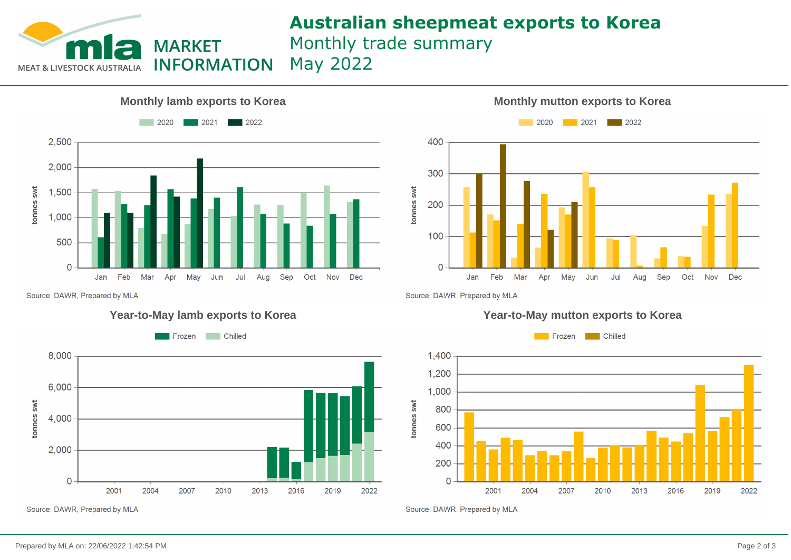

# **Australian sheepmeat exports to Korea** Monthly trade summary

May 2022





Source: DAWR, Prepared by MLA

![](_page_1_Figure_8.jpeg)

Source: DAWR, Prepared by MLA

## **Year-to-May lamb exports to Korea Year-to-May mutton exports to Korea**

![](_page_1_Figure_11.jpeg)

Source: DAWR, Prepared by MLA